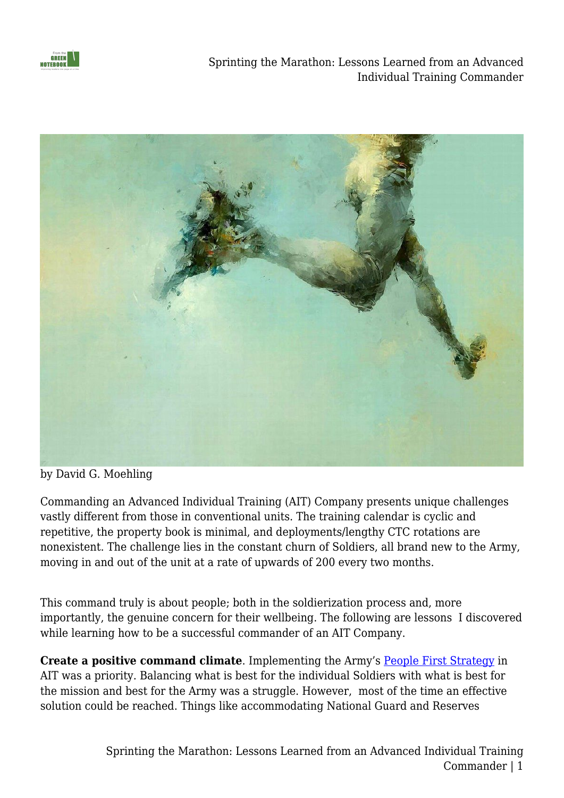

Sprinting the Marathon: Lessons Learned from an Advanced Individual Training Commander



by David G. Moehling

Commanding an Advanced Individual Training (AIT) Company presents unique challenges vastly different from those in conventional units. The training calendar is cyclic and repetitive, the property book is minimal, and deployments/lengthy CTC rotations are nonexistent. The challenge lies in the constant churn of Soldiers, all brand new to the Army, moving in and out of the unit at a rate of upwards of 200 every two months.

This command truly is about people; both in the soldierization process and, more importantly, the genuine concern for their wellbeing. The following are lessons I discovered while learning how to be a successful commander of an AIT Company.

**Create a positive command climate**. Implementing the Army's [People First Strategy](https://www.army.mil/peoplefirst/) in AIT was a priority. Balancing what is best for the individual Soldiers with what is best for the mission and best for the Army was a struggle. However, most of the time an effective solution could be reached. Things like accommodating National Guard and Reserves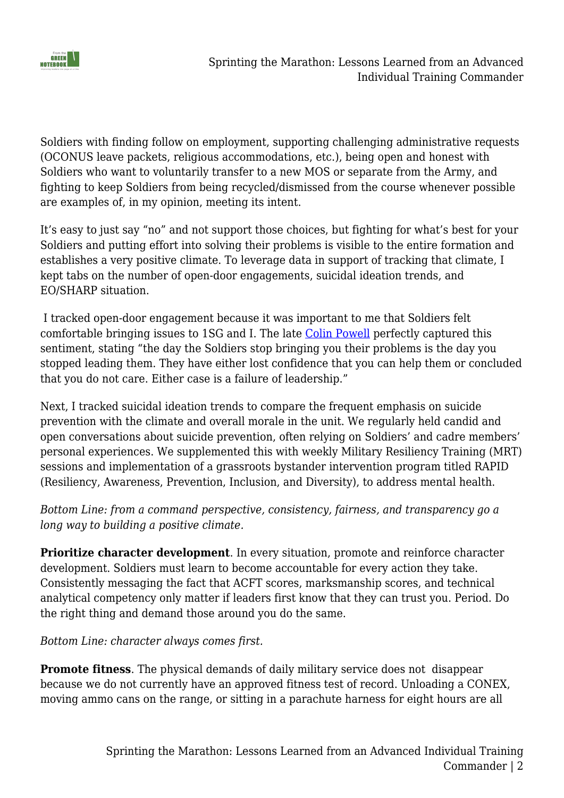

Soldiers with finding follow on employment, supporting challenging administrative requests (OCONUS leave packets, religious accommodations, etc.), being open and honest with Soldiers who want to voluntarily transfer to a new MOS or separate from the Army, and fighting to keep Soldiers from being recycled/dismissed from the course whenever possible are examples of, in my opinion, meeting its intent.

It's easy to just say "no" and not support those choices, but fighting for what's best for your Soldiers and putting effort into solving their problems is visible to the entire formation and establishes a very positive climate. To leverage data in support of tracking that climate, I kept tabs on the number of open-door engagements, suicidal ideation trends, and EO/SHARP situation.

 I tracked open-door engagement because it was important to me that Soldiers felt comfortable bringing issues to 1SG and I. The late [Colin Powell](https://www.amazon.com/Worked-Me-Life-Leadership/dp/0062135120/ref=tmm_hrd_swatch_0?_encoding=UTF8&qid=1645049430&sr=8-1) perfectly captured this sentiment, stating "the day the Soldiers stop bringing you their problems is the day you stopped leading them. They have either lost confidence that you can help them or concluded that you do not care. Either case is a failure of leadership."

Next, I tracked suicidal ideation trends to compare the frequent emphasis on suicide prevention with the climate and overall morale in the unit. We regularly held candid and open conversations about suicide prevention, often relying on Soldiers' and cadre members' personal experiences. We supplemented this with weekly Military Resiliency Training (MRT) sessions and implementation of a grassroots bystander intervention program titled RAPID (Resiliency, Awareness, Prevention, Inclusion, and Diversity), to address mental health.

*Bottom Line: from a command perspective, consistency, fairness, and transparency go a long way to building a positive climate.*

**Prioritize character development**. In every situation, promote and reinforce character development. Soldiers must learn to become accountable for every action they take. Consistently messaging the fact that ACFT scores, marksmanship scores, and technical analytical competency only matter if leaders first know that they can trust you. Period. Do the right thing and demand those around you do the same.

*Bottom Line: character always comes first.*

**Promote fitness**. The physical demands of daily military service does not disappear because we do not currently have an approved fitness test of record. Unloading a CONEX, moving ammo cans on the range, or sitting in a parachute harness for eight hours are all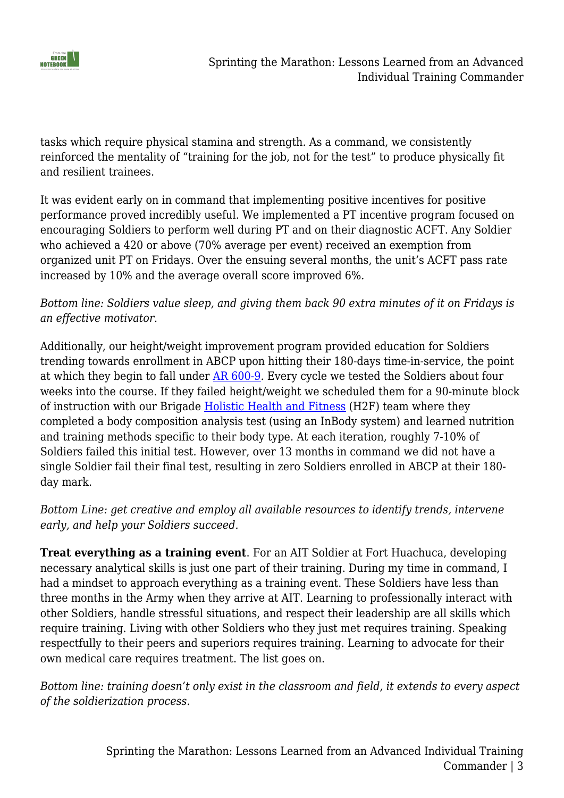

tasks which require physical stamina and strength. As a command, we consistently reinforced the mentality of "training for the job, not for the test" to produce physically fit and resilient trainees.

It was evident early on in command that implementing positive incentives for positive performance proved incredibly useful. We implemented a PT incentive program focused on encouraging Soldiers to perform well during PT and on their diagnostic ACFT. Any Soldier who achieved a 420 or above (70% average per event) received an exemption from organized unit PT on Fridays. Over the ensuing several months, the unit's ACFT pass rate increased by 10% and the average overall score improved 6%.

## *Bottom line: Soldiers value sleep, and giving them back 90 extra minutes of it on Fridays is an effective motivator.*

Additionally, our height/weight improvement program provided education for Soldiers trending towards enrollment in ABCP upon hitting their 180-days time-in-service, the point at which they begin to fall under [AR 600-9](https://armypubs.army.mil/epubs/dr_pubs/dr_a/pdf/web/arn7779_ar600-9_final.pdf). Every cycle we tested the Soldiers about four weeks into the course. If they failed height/weight we scheduled them for a 90-minute block of instruction with our Brigade [Holistic Health and Fitness](https://usacimt.tradoc.army.mil/assets/H2F%20101%20(Approved%20for%20Public%20Release).pdf) (H2F) team where they completed a body composition analysis test (using an InBody system) and learned nutrition and training methods specific to their body type. At each iteration, roughly 7-10% of Soldiers failed this initial test. However, over 13 months in command we did not have a single Soldier fail their final test, resulting in zero Soldiers enrolled in ABCP at their 180 day mark.

## *Bottom Line: get creative and employ all available resources to identify trends, intervene early, and help your Soldiers succeed.*

**Treat everything as a training event**. For an AIT Soldier at Fort Huachuca, developing necessary analytical skills is just one part of their training. During my time in command, I had a mindset to approach everything as a training event. These Soldiers have less than three months in the Army when they arrive at AIT. Learning to professionally interact with other Soldiers, handle stressful situations, and respect their leadership are all skills which require training. Living with other Soldiers who they just met requires training. Speaking respectfully to their peers and superiors requires training. Learning to advocate for their own medical care requires treatment. The list goes on.

*Bottom line: training doesn't only exist in the classroom and field, it extends to every aspect of the soldierization process.*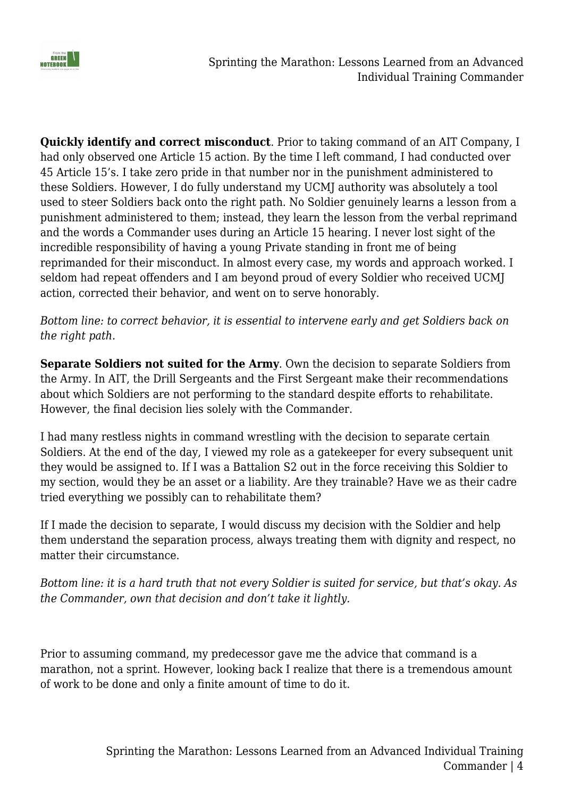

**Quickly identify and correct misconduct**. Prior to taking command of an AIT Company, I had only observed one Article 15 action. By the time I left command, I had conducted over 45 Article 15's. I take zero pride in that number nor in the punishment administered to these Soldiers. However, I do fully understand my UCMJ authority was absolutely a tool used to steer Soldiers back onto the right path. No Soldier genuinely learns a lesson from a punishment administered to them; instead, they learn the lesson from the verbal reprimand and the words a Commander uses during an Article 15 hearing. I never lost sight of the incredible responsibility of having a young Private standing in front me of being reprimanded for their misconduct. In almost every case, my words and approach worked. I seldom had repeat offenders and I am beyond proud of every Soldier who received UCMJ action, corrected their behavior, and went on to serve honorably.

*Bottom line: to correct behavior, it is essential to intervene early and get Soldiers back on the right path.*

**Separate Soldiers not suited for the Army**. Own the decision to separate Soldiers from the Army. In AIT, the Drill Sergeants and the First Sergeant make their recommendations about which Soldiers are not performing to the standard despite efforts to rehabilitate. However, the final decision lies solely with the Commander.

I had many restless nights in command wrestling with the decision to separate certain Soldiers. At the end of the day, I viewed my role as a gatekeeper for every subsequent unit they would be assigned to. If I was a Battalion S2 out in the force receiving this Soldier to my section, would they be an asset or a liability. Are they trainable? Have we as their cadre tried everything we possibly can to rehabilitate them?

If I made the decision to separate, I would discuss my decision with the Soldier and help them understand the separation process, always treating them with dignity and respect, no matter their circumstance.

*Bottom line: it is a hard truth that not every Soldier is suited for service, but that's okay. As the Commander, own that decision and don't take it lightly.*

Prior to assuming command, my predecessor gave me the advice that command is a marathon, not a sprint. However, looking back I realize that there is a tremendous amount of work to be done and only a finite amount of time to do it.